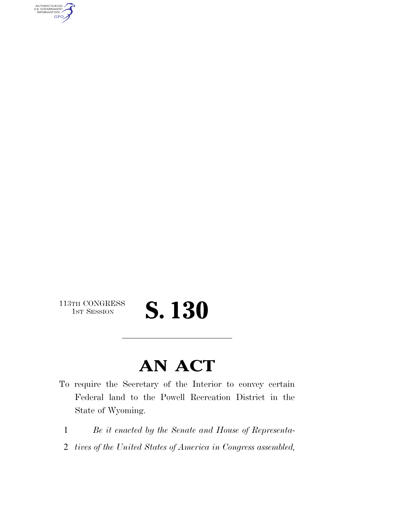AUTHENTICATED<br>U.S. GOVERNMENT<br>INFORMATION **GPO** 

113TH CONGRESS<br>1st Session

## S. 130

### **AN ACT**

- To require the Secretary of the Interior to convey certain Federal land to the Powell Recreation District in the State of Wyoming.
	- 1 *Be it enacted by the Senate and House of Representa-*
	- 2 *tives of the United States of America in Congress assembled,*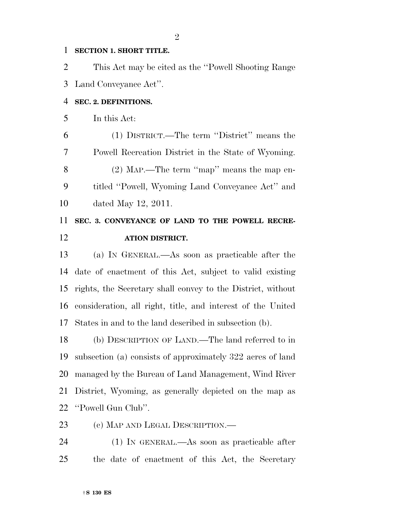#### **SECTION 1. SHORT TITLE.**

 This Act may be cited as the ''Powell Shooting Range Land Conveyance Act''.

#### **SEC. 2. DEFINITIONS.**

In this Act:

 (1) DISTRICT.—The term ''District'' means the Powell Recreation District in the State of Wyoming. (2) MAP.—The term ''map'' means the map en- titled ''Powell, Wyoming Land Conveyance Act'' and dated May 12, 2011.

### **SEC. 3. CONVEYANCE OF LAND TO THE POWELL RECRE-ATION DISTRICT.**

 (a) IN GENERAL.—As soon as practicable after the date of enactment of this Act, subject to valid existing rights, the Secretary shall convey to the District, without consideration, all right, title, and interest of the United States in and to the land described in subsection (b).

 (b) DESCRIPTION OF LAND.—The land referred to in subsection (a) consists of approximately 322 acres of land managed by the Bureau of Land Management, Wind River District, Wyoming, as generally depicted on the map as ''Powell Gun Club''.

(c) MAP AND LEGAL DESCRIPTION.—

 (1) IN GENERAL.—As soon as practicable after the date of enactment of this Act, the Secretary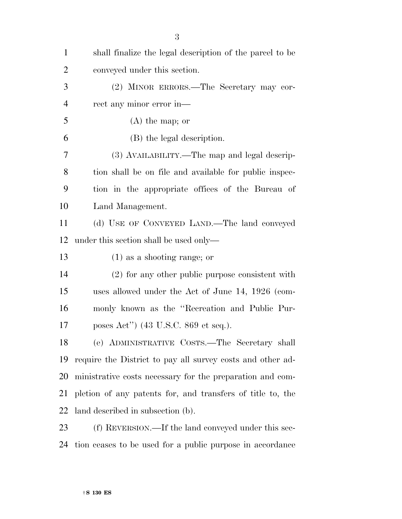| $\mathbf{1}$   | shall finalize the legal description of the parcel to be   |
|----------------|------------------------------------------------------------|
| $\overline{2}$ | conveyed under this section.                               |
| 3              | (2) MINOR ERRORS.—The Secretary may cor-                   |
| $\overline{4}$ | rect any minor error in—                                   |
| 5              | $(A)$ the map; or                                          |
| 6              | (B) the legal description.                                 |
| 7              | (3) AVAILABILITY.—The map and legal descrip-               |
| 8              | tion shall be on file and available for public inspec-     |
| 9              | tion in the appropriate offices of the Bureau of           |
| 10             | Land Management.                                           |
| 11             | (d) USE OF CONVEYED LAND.—The land conveyed                |
| 12             | under this section shall be used only—                     |
| 13             | $(1)$ as a shooting range; or                              |
| 14             | (2) for any other public purpose consistent with           |
| 15             | uses allowed under the Act of June 14, 1926 (com-          |
| 16             | monly known as the "Recreation and Public Pur-             |
| 17             | poses Act") (43 U.S.C. 869 et seq.).                       |
| 18             | (e) ADMINISTRATIVE COSTS.-The Secretary shall              |
| 19             | require the District to pay all survey costs and other ad- |
| 20             | ministrative costs necessary for the preparation and com-  |
| 21             | pletion of any patents for, and transfers of title to, the |
| 22             | land described in subsection (b).                          |
| 23             | (f) REVERSION.—If the land conveyed under this sec-        |

tion ceases to be used for a public purpose in accordance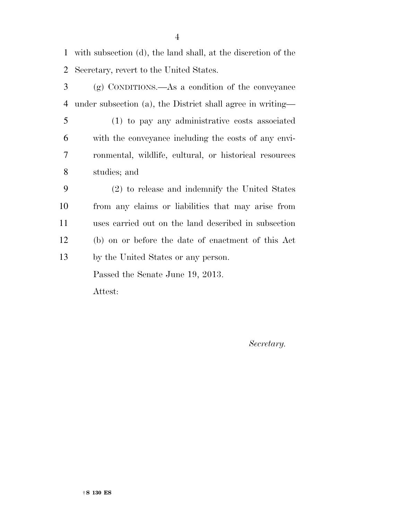with subsection (d), the land shall, at the discretion of the Secretary, revert to the United States.

 (g) CONDITIONS.—As a condition of the conveyance under subsection (a), the District shall agree in writing—

 (1) to pay any administrative costs associated with the conveyance including the costs of any envi- ronmental, wildlife, cultural, or historical resources studies; and

 (2) to release and indemnify the United States from any claims or liabilities that may arise from uses carried out on the land described in subsection (b) on or before the date of enactment of this Act by the United States or any person.

Passed the Senate June 19, 2013.

Attest:

*Secretary.*